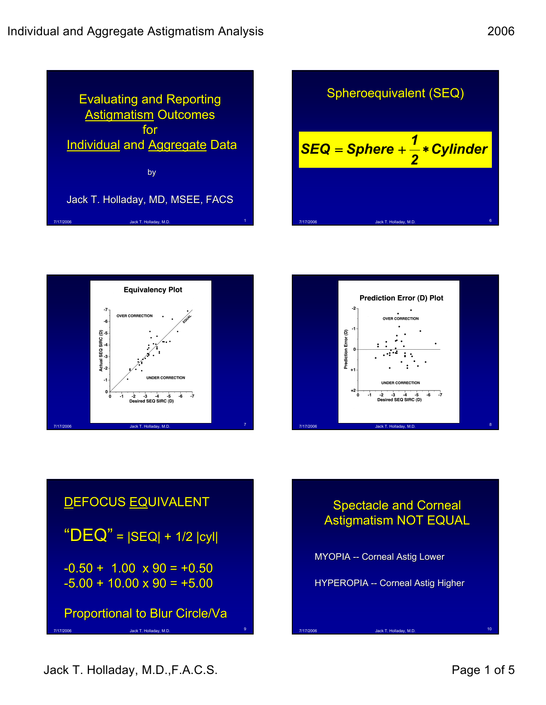

Sphere  
\nSFA  
\n
$$
SEQ = Sphere + \frac{1}{2} * Cylinder
$$
\n\n
$$
T1772006
$$
\n\n
$$
J17772006
$$
\n\n
$$
J17772006
$$
\n\n
$$
J26X T. Holbaday, M.D. 8
$$







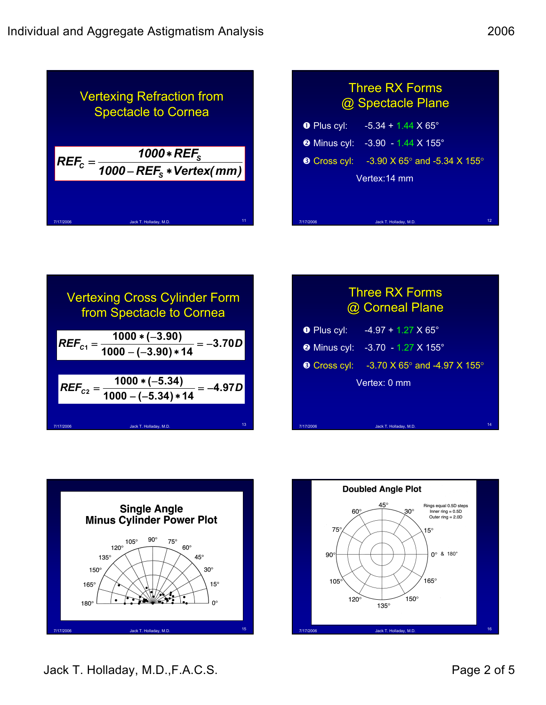

## **Three RX Forms** @ Spectacle Plane **O** Plus cyl:  $-5.34 + 1.44 \times 65^{\circ}$ **<sup>●</sup>** Minus cyl: -3.90 - 1.44 X 155° **9** Cross cyl: -3.90 X 65° and -5.34 X 155° Vertex:14 mm

7/17/2006 Jack T. Holladay, M.D. <sup>12</sup>

7/17/2006 Jack T. Holladay, M.D. 17/17/2006 Jack T. Holladay, M.D. 14



## **Three RX Forms** @ Corneal Plane

- Plus cyl:  $-4.97 + 1.27 \times 65^{\circ}$
- **@** Minus cyl: -3.70 1.27 X 155°
- **Cross cyl:** -3.70 X 65° and -4.97 X 155° Vertex: 0 mm



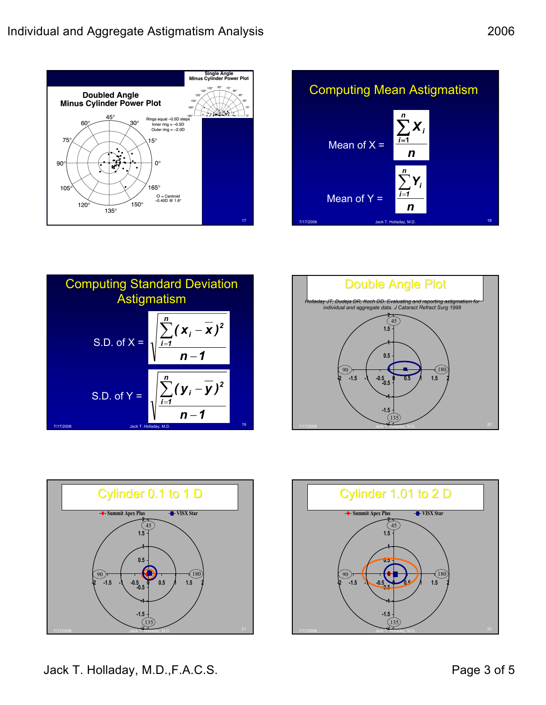









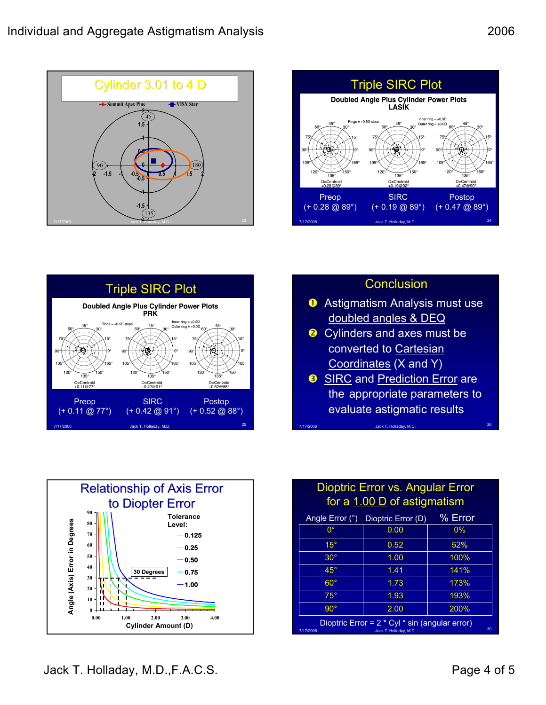





## **Conclusion**

- **D** Astigmatism Analysis must use doubled angles & DEQ
- **a** Cylinders and axes must be converted to Cartesian Coordinates (X and Y)
- **B** SIRC and Prediction Error are the appropriate parameters to evaluate astigmatic results

7/17/2006 Jack T. Holladay, M.D. <sup>26</sup>



## Dioptric Error vs. Angular Error for a  $1.00$  D of astigmatism

| Angle Error (°)                                                                             | Dioptric Error (D) | % Error |
|---------------------------------------------------------------------------------------------|--------------------|---------|
| $0^{\circ}$                                                                                 | 0.00               | 0%      |
| $15^{\circ}$                                                                                | 0.52               | 52%     |
| $30^\circ$                                                                                  | 1.00               | 100%    |
| $45^{\circ}$                                                                                | 1.41               | 141%    |
| $60^\circ$                                                                                  | 1.73               | 173%    |
| $75^\circ$                                                                                  | 1.93               | 193%    |
| $90^\circ$                                                                                  | 2.00               | 200%    |
| Dioptric Error = 2 * Cyl * sin (angular error)<br>30<br>7/17/2006<br>Jack T. Holladay, M.D. |                    |         |